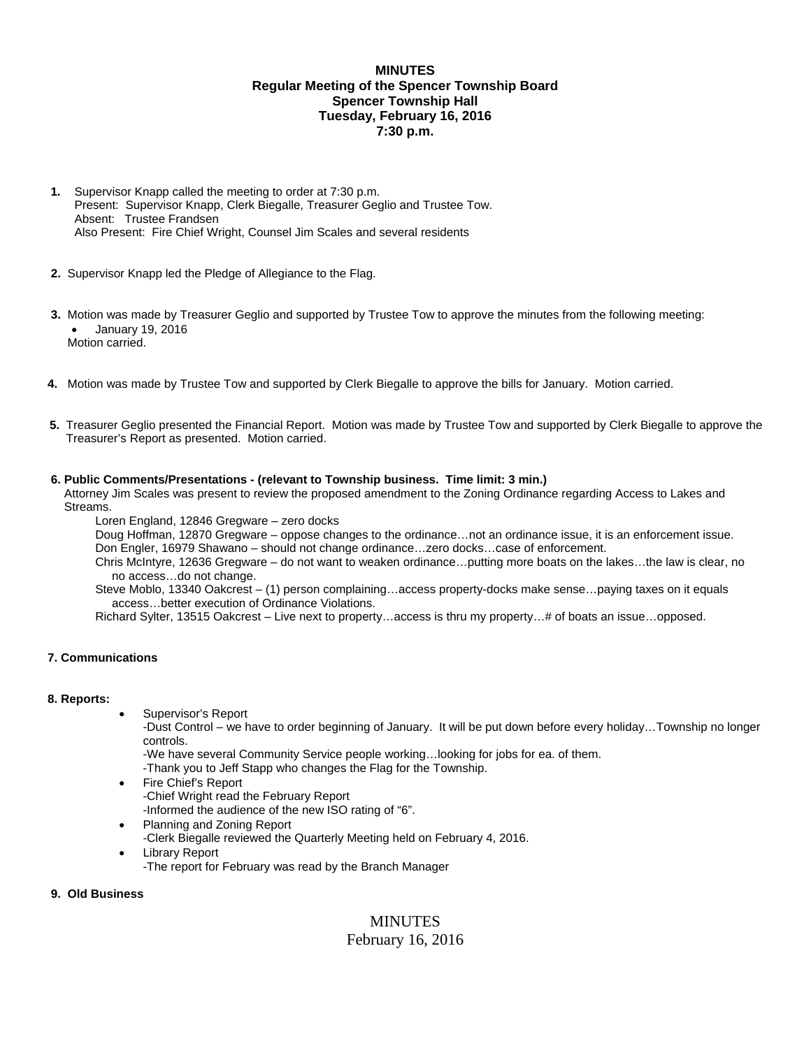## **MINUTES Regular Meeting of the Spencer Township Board Spencer Township Hall Tuesday, February 16, 2016 7:30 p.m.**

- **1.** Supervisor Knapp called the meeting to order at 7:30 p.m. Present: Supervisor Knapp, Clerk Biegalle, Treasurer Geglio and Trustee Tow. Absent: Trustee Frandsen Also Present: Fire Chief Wright, Counsel Jim Scales and several residents
- **2.** Supervisor Knapp led the Pledge of Allegiance to the Flag.
- **3.** Motion was made by Treasurer Geglio and supported by Trustee Tow to approve the minutes from the following meeting: January 19, 2016 Motion carried.
- **4.** Motion was made by Trustee Tow and supported by Clerk Biegalle to approve the bills for January. Motion carried.
- **5.** Treasurer Geglio presented the Financial Report. Motion was made by Trustee Tow and supported by Clerk Biegalle to approve the Treasurer's Report as presented. Motion carried.

#### **6. Public Comments/Presentations - (relevant to Township business. Time limit: 3 min.)**

 Attorney Jim Scales was present to review the proposed amendment to the Zoning Ordinance regarding Access to Lakes and Streams.

Loren England, 12846 Gregware – zero docks

Doug Hoffman, 12870 Gregware – oppose changes to the ordinance…not an ordinance issue, it is an enforcement issue.

Don Engler, 16979 Shawano – should not change ordinance…zero docks…case of enforcement.

 Chris McIntyre, 12636 Gregware – do not want to weaken ordinance…putting more boats on the lakes…the law is clear, no no access…do not change.

 Steve Moblo, 13340 Oakcrest – (1) person complaining…access property-docks make sense…paying taxes on it equals access…better execution of Ordinance Violations.

Richard Sylter, 13515 Oakcrest – Live next to property…access is thru my property…# of boats an issue…opposed.

## **7. Communications**

#### **8. Reports:**

Supervisor's Report

-Dust Control – we have to order beginning of January. It will be put down before every holiday…Township no longer controls.

-We have several Community Service people working…looking for jobs for ea. of them.

-Thank you to Jeff Stapp who changes the Flag for the Township.

- Fire Chief's Report -Chief Wright read the February Report -Informed the audience of the new ISO rating of "6".
- Planning and Zoning Report -Clerk Biegalle reviewed the Quarterly Meeting held on February 4, 2016.
- Library Report -The report for February was read by the Branch Manager

#### **9. Old Business**

# MINUTES

## February 16, 2016